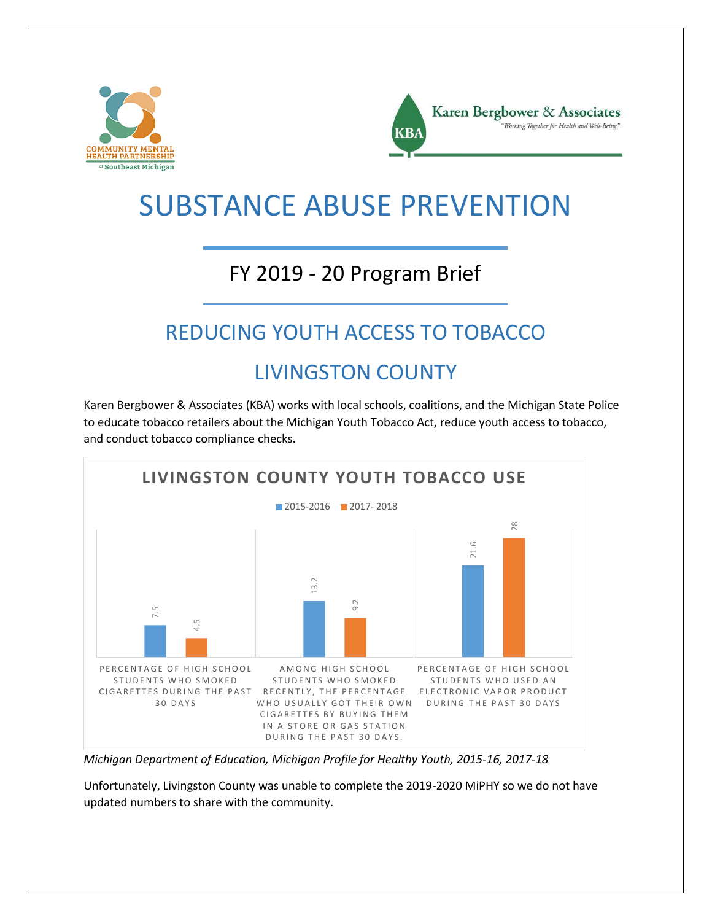



## SUBSTANCE ABUSE PREVENTION

#### FY 2019 - 20 Program Brief

### REDUCING YOUTH ACCESS TO TOBACCO

#### LIVINGSTON COUNTY

Karen Bergbower & Associates (KBA) works with local schools, coalitions, and the Michigan State Police to educate tobacco retailers about the Michigan Youth Tobacco Act, reduce youth access to tobacco, and conduct tobacco compliance checks.



*Michigan Department of Education, Michigan Profile for Healthy Youth, 2015-16, 2017-18*

Unfortunately, Livingston County was unable to complete the 2019-2020 MiPHY so we do not have